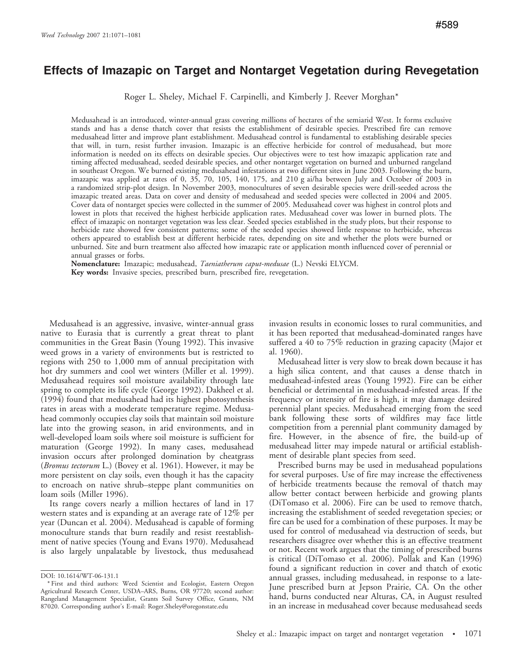# Effects of Imazapic on Target and Nontarget Vegetation during Revegetation

Roger L. Sheley, Michael F. Carpinelli, and Kimberly J. Reever Morghan\*

Medusahead is an introduced, winter-annual grass covering millions of hectares of the semiarid West. It forms exclusive stands and has a dense thatch cover that resists the establishment of desirable species. Prescribed fire can remove medusahead litter and improve plant establishment. Medusahead control is fundamental to establishing desirable species that will, in turn, resist further invasion. Imazapic is an effective herbicide for control of medusahead, but more information is needed on its effects on desirable species. Our objectives were to test how imazapic application rate and timing affected medusahead, seeded desirable species, and other nontarget vegetation on burned and unburned rangeland in southeast Oregon. We burned existing medusahead infestations at two different sites in June 2003. Following the burn, imazapic was applied at rates of 0, 35, 70, 105, 140, 175, and 210 g ai/ha between July and October of 2003 in a randomized strip-plot design. In November 2003, monocultures of seven desirable species were drill-seeded across the imazapic treated areas. Data on cover and density of medusahead and seeded species were collected in 2004 and 2005. Cover data of nontarget species were collected in the summer of 2005. Medusahead cover was highest in control plots and lowest in plots that received the highest herbicide application rates. Medusahead cover was lower in burned plots. The effect of imazapic on nontarget vegetation was less clear. Seeded species established in the study plots, but their response to herbicide rate showed few consistent patterns; some of the seeded species showed little response to herbicide, whereas others appeared to establish best at different herbicide rates, depending on site and whether the plots were burned or unburned. Site and burn treatment also affected how imazapic rate or application month influenced cover of perennial or annual grasses or forbs.

Nomenclature: Imazapic; medusahead, Taeniatherum caput-medusae (L.) Nevski ELYCM.

Key words: Invasive species, prescribed burn, prescribed fire, revegetation.

Medusahead is an aggressive, invasive, winter-annual grass native to Eurasia that is currently a great threat to plant communities in the Great Basin (Young 1992). This invasive weed grows in a variety of environments but is restricted to regions with 250 to 1,000 mm of annual precipitation with hot dry summers and cool wet winters (Miller et al. 1999). Medusahead requires soil moisture availability through late spring to complete its life cycle (George 1992). Dakheel et al. (1994) found that medusahead had its highest photosynthesis rates in areas with a moderate temperature regime. Medusahead commonly occupies clay soils that maintain soil moisture late into the growing season, in arid environments, and in well-developed loam soils where soil moisture is sufficient for maturation (George 1992). In many cases, medusahead invasion occurs after prolonged domination by cheatgrass (Bromus tectorum L.) (Bovey et al. 1961). However, it may be more persistent on clay soils, even though it has the capacity to encroach on native shrub–steppe plant communities on loam soils (Miller 1996).

Its range covers nearly a million hectares of land in 17 western states and is expanding at an average rate of 12% per year (Duncan et al. 2004). Medusahead is capable of forming monoculture stands that burn readily and resist reestablishment of native species (Young and Evans 1970). Medusahead is also largely unpalatable by livestock, thus medusahead invasion results in economic losses to rural communities, and it has been reported that medusahead-dominated ranges have suffered a 40 to 75% reduction in grazing capacity (Major et al. 1960).

Medusahead litter is very slow to break down because it has a high silica content, and that causes a dense thatch in medusahead-infested areas (Young 1992). Fire can be either beneficial or detrimental in medusahead-infested areas. If the frequency or intensity of fire is high, it may damage desired perennial plant species. Medusahead emerging from the seed bank following these sorts of wildfires may face little competition from a perennial plant community damaged by fire. However, in the absence of fire, the build-up of medusahead litter may impede natural or artificial establishment of desirable plant species from seed.

Prescribed burns may be used in medusahead populations for several purposes. Use of fire may increase the effectiveness of herbicide treatments because the removal of thatch may allow better contact between herbicide and growing plants (DiTomaso et al. 2006). Fire can be used to remove thatch, increasing the establishment of seeded revegetation species; or fire can be used for a combination of these purposes. It may be used for control of medusahead via destruction of seeds, but researchers disagree over whether this is an effective treatment or not. Recent work argues that the timing of prescribed burns is critical (DiTomaso et al. 2006). Pollak and Kan (1996) found a significant reduction in cover and thatch of exotic annual grasses, including medusahead, in response to a late-June prescribed burn at Jepson Prairie, CA. On the other hand, burns conducted near Alturas, CA, in August resulted in an increase in medusahead cover because medusahead seeds

DOI: 10.1614/WT-06-131.1

<sup>\*</sup> First and third authors: Weed Scientist and Ecologist, Eastern Oregon Agricultural Research Center, USDA–ARS, Burns, OR 97720; second author: Rangeland Management Specialist, Grants Soil Survey Office, Grants, NM 87020. Corresponding author's E-mail: Roger.Sheley@oregonstate.edu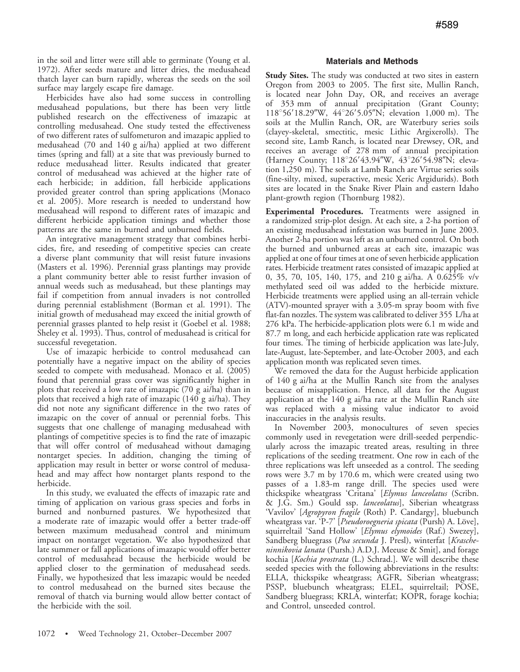in the soil and litter were still able to germinate (Young et al. 1972). After seeds mature and litter dries, the medusahead thatch layer can burn rapidly, whereas the seeds on the soil surface may largely escape fire damage.

Herbicides have also had some success in controlling medusahead populations, but there has been very little published research on the effectiveness of imazapic at controlling medusahead. One study tested the effectiveness of two different rates of sulfometuron and imazapic applied to medusahead (70 and 140 g ai/ha) applied at two different times (spring and fall) at a site that was previously burned to reduce medusahead litter. Results indicated that greater control of medusahead was achieved at the higher rate of each herbicide; in addition, fall herbicide applications provided greater control than spring applications (Monaco et al. 2005). More research is needed to understand how medusahead will respond to different rates of imazapic and different herbicide application timings and whether those patterns are the same in burned and unburned fields.

An integrative management strategy that combines herbicides, fire, and reseeding of competitive species can create a diverse plant community that will resist future invasions (Masters et al. 1996). Perennial grass plantings may provide a plant community better able to resist further invasion of annual weeds such as medusahead, but these plantings may fail if competition from annual invaders is not controlled during perennial establishment (Borman et al. 1991). The initial growth of medusahead may exceed the initial growth of perennial grasses planted to help resist it (Goebel et al. 1988; Sheley et al. 1993). Thus, control of medusahead is critical for successful revegetation.

Use of imazapic herbicide to control medusahead can potentially have a negative impact on the ability of species seeded to compete with medusahead. Monaco et al. (2005) found that perennial grass cover was significantly higher in plots that received a low rate of imazapic (70 g ai/ha) than in plots that received a high rate of imazapic (140 g ai/ha). They did not note any significant difference in the two rates of imazapic on the cover of annual or perennial forbs. This suggests that one challenge of managing medusahead with plantings of competitive species is to find the rate of imazapic that will offer control of medusahead without damaging nontarget species. In addition, changing the timing of application may result in better or worse control of medusahead and may affect how nontarget plants respond to the herbicide.

In this study, we evaluated the effects of imazapic rate and timing of application on various grass species and forbs in burned and nonburned pastures. We hypothesized that a moderate rate of imazapic would offer a better trade-off between maximum medusahead control and minimum impact on nontarget vegetation. We also hypothesized that late summer or fall applications of imazapic would offer better control of medusahead because the herbicide would be applied closer to the germination of medusahead seeds. Finally, we hypothesized that less imazapic would be needed to control medusahead on the burned sites because the removal of thatch via burning would allow better contact of the herbicide with the soil.

## Materials and Methods

**Study Sites.** The study was conducted at two sites in eastern Oregon from 2003 to 2005. The first site, Mullin Ranch, is located near John Day, OR, and receives an average of 353 mm of annual precipitation (Grant County;  $118°56'18.29''W$ ,  $44°26'5.05''N$ ; elevation 1,000 m). The soils at the Mullin Ranch, OR, are Waterbury series soils (clayey-skeletal, smectitic, mesic Lithic Argixerolls). The second site, Lamb Ranch, is located near Drewsey, OR, and receives an average of 278 mm of annual precipitation (Harney County;  $118^{\circ}26'43.94''W$ ,  $43^{\circ}26'54.98''N$ ; elevation 1,250 m). The soils at Lamb Ranch are Virtue series soils (fine-silty, mixed, superactive, mesic Xeric Argidurids). Both sites are located in the Snake River Plain and eastern Idaho plant-growth region (Thornburg 1982).

Experimental Procedures. Treatments were assigned in a randomized strip-plot design. At each site, a 2-ha portion of an existing medusahead infestation was burned in June 2003. Another 2-ha portion was left as an unburned control. On both the burned and unburned areas at each site, imazapic was applied at one of four times at one of seven herbicide application rates. Herbicide treatment rates consisted of imazapic applied at 0, 35, 70, 105, 140, 175, and 210 g ai/ha. A 0.625% v/v methylated seed oil was added to the herbicide mixture. Herbicide treatments were applied using an all-terrain vehicle (ATV)-mounted sprayer with a 3.05-m spray boom with five flat-fan nozzles. The system was calibrated to deliver 355 L/ha at 276 kPa. The herbicide-application plots were 6.1 m wide and 87.7 m long, and each herbicide application rate was replicated four times. The timing of herbicide application was late-July, late-August, late-September, and late-October 2003, and each application month was replicated seven times.

We removed the data for the August herbicide application of 140 g ai/ha at the Mullin Ranch site from the analyses because of misapplication. Hence, all data for the August application at the 140 g ai/ha rate at the Mullin Ranch site was replaced with a missing value indicator to avoid inaccuracies in the analysis results.

In November 2003, monocultures of seven species commonly used in revegetation were drill-seeded perpendicularly across the imazapic treated areas, resulting in three replications of the seeding treatment. One row in each of the three replications was left unseeded as a control. The seeding rows were 3.7 m by 170.6 m, which were created using two passes of a 1.83-m range drill. The species used were thickspike wheatgrass 'Critana' [Elymus lanceolatus (Scribn. & J.G. Sm.) Gould ssp. lanceolatus], Siberian wheatgrass 'Vavilov' [Agropyron fragile (Roth) P. Candargy], bluebunch wheatgrass var. 'P-7' [Pseudoroegneria spicata (Pursh) A. Löve], squirreltail 'Sand Hollow' [Elymus elymoides (Raf.) Swezey], Sandberg bluegrass (Poa secunda J. Presl), winterfat [Krascheninnikovia lanata (Pursh.) A.D.J. Meeuse & Smit], and forage kochia [Kochia prostrata (L.) Schrad.]. We will describe these seeded species with the following abbreviations in the results: ELLA, thickspike wheatgrass; AGFR, Siberian wheatgrass; PSSP, bluebunch wheatgrass; ELEL, squirreltail; POSE, Sandberg bluegrass; KRLA, winterfat; KOPR, forage kochia; and Control, unseeded control.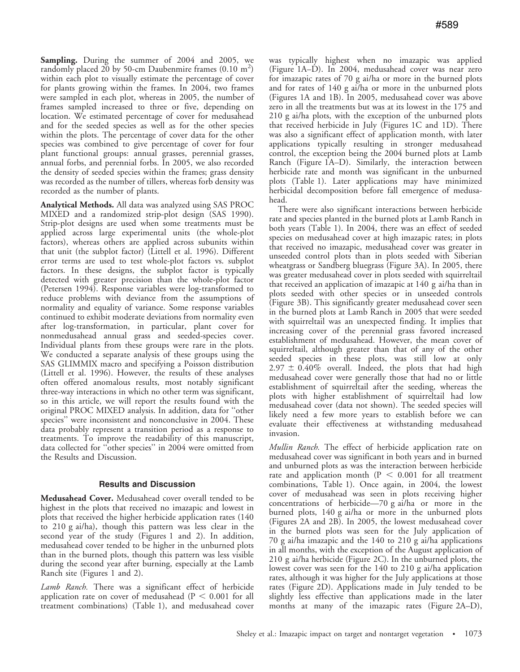Sampling. During the summer of 2004 and 2005, we randomly placed 20 by 50-cm Daubenmire frames  $(0.10 \text{ m}^2)$ within each plot to visually estimate the percentage of cover for plants growing within the frames. In 2004, two frames were sampled in each plot, whereas in 2005, the number of frames sampled increased to three or five, depending on location. We estimated percentage of cover for medusahead and for the seeded species as well as for the other species within the plots. The percentage of cover data for the other species was combined to give percentage of cover for four plant functional groups: annual grasses, perennial grasses, annual forbs, and perennial forbs. In 2005, we also recorded the density of seeded species within the frames; grass density was recorded as the number of tillers, whereas forb density was recorded as the number of plants.

Analytical Methods. All data was analyzed using SAS PROC MIXED and a randomized strip-plot design (SAS 1990). Strip-plot designs are used when some treatments must be applied across large experimental units (the whole-plot factors), whereas others are applied across subunits within that unit (the subplot factor) (Littell et al. 1996). Different error terms are used to test whole-plot factors vs. subplot factors. In these designs, the subplot factor is typically detected with greater precision than the whole-plot factor (Petersen 1994). Response variables were log-transformed to reduce problems with deviance from the assumptions of normality and equality of variance. Some response variables continued to exhibit moderate deviations from normality even after log-transformation, in particular, plant cover for nonmedusahead annual grass and seeded-species cover. Individual plants from these groups were rare in the plots. We conducted a separate analysis of these groups using the SAS GLIMMIX macro and specifying a Poisson distribution (Littell et al. 1996). However, the results of these analyses often offered anomalous results, most notably significant three-way interactions in which no other term was significant, so in this article, we will report the results found with the original PROC MIXED analysis. In addition, data for ''other species'' were inconsistent and nonconclusive in 2004. These data probably represent a transition period as a response to treatments. To improve the readability of this manuscript, data collected for ''other species'' in 2004 were omitted from the Results and Discussion.

## Results and Discussion

Medusahead Cover. Medusahead cover overall tended to be highest in the plots that received no imazapic and lowest in plots that received the higher herbicide application rates (140 to 210 g ai/ha), though this pattern was less clear in the second year of the study (Figures 1 and 2). In addition, medusahead cover tended to be higher in the unburned plots than in the burned plots, though this pattern was less visible during the second year after burning, especially at the Lamb Ranch site (Figures 1 and 2).

Lamb Ranch. There was a significant effect of herbicide application rate on cover of medusahead ( $P < 0.001$  for all treatment combinations) (Table 1), and medusahead cover

was typically highest when no imazapic was applied (Figure 1A–D). In 2004, medusahead cover was near zero for imazapic rates of 70 g ai/ha or more in the burned plots and for rates of 140 g ai/ha or more in the unburned plots (Figures 1A and 1B). In 2005, medusahead cover was above zero in all the treatments but was at its lowest in the 175 and 210 g ai/ha plots, with the exception of the unburned plots that received herbicide in July (Figures 1C and 1D). There was also a significant effect of application month, with later applications typically resulting in stronger medusahead control, the exception being the 2004 burned plots at Lamb Ranch (Figure 1A–D). Similarly, the interaction between herbicide rate and month was significant in the unburned plots (Table 1). Later applications may have minimized herbicidal decomposition before fall emergence of medusahead.

There were also significant interactions between herbicide rate and species planted in the burned plots at Lamb Ranch in both years (Table 1). In 2004, there was an effect of seeded species on medusahead cover at high imazapic rates; in plots that received no imazapic, medusahead cover was greater in unseeded control plots than in plots seeded with Siberian wheatgrass or Sandberg bluegrass (Figure 3A). In 2005, there was greater medusahead cover in plots seeded with squirreltail that received an application of imazapic at 140 g ai/ha than in plots seeded with other species or in unseeded controls (Figure 3B). This significantly greater medusahead cover seen in the burned plots at Lamb Ranch in 2005 that were seeded with squirreltail was an unexpected finding. It implies that increasing cover of the perennial grass favored increased establishment of medusahead. However, the mean cover of squirreltail, although greater than that of any of the other seeded species in these plots, was still low at only  $2.97 \pm 0.40\%$  overall. Indeed, the plots that had high medusahead cover were generally those that had no or little establishment of squirreltail after the seeding, whereas the plots with higher establishment of squirreltail had low medusahead cover (data not shown). The seeded species will likely need a few more years to establish before we can evaluate their effectiveness at withstanding medusahead invasion.

Mullin Ranch. The effect of herbicide application rate on medusahead cover was significant in both years and in burned and unburned plots as was the interaction between herbicide rate and application month ( $P < 0.001$  for all treatment combinations, Table 1). Once again, in 2004, the lowest cover of medusahead was seen in plots receiving higher concentrations of herbicide—70 g ai/ha or more in the burned plots, 140 g ai/ha or more in the unburned plots (Figures 2A and 2B). In 2005, the lowest medusahead cover in the burned plots was seen for the July application of 70 g ai/ha imazapic and the 140 to 210 g ai/ha applications in all months, with the exception of the August application of 210 g ai/ha herbicide (Figure 2C). In the unburned plots, the lowest cover was seen for the 140 to 210 g ai/ha application rates, although it was higher for the July applications at those rates (Figure 2D). Applications made in July tended to be slightly less effective than applications made in the later months at many of the imazapic rates (Figure 2A–D),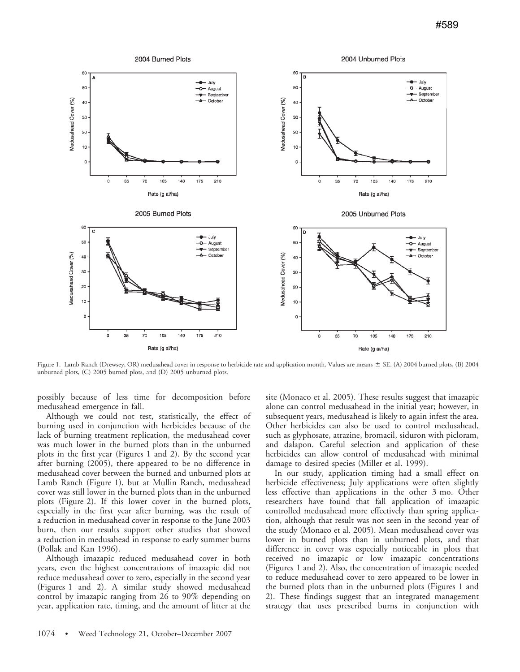

Figure 1. Lamb Ranch (Drewsey, OR) medusahead cover in response to herbicide rate and application month. Values are means  $\pm$  SE. (A) 2004 burned plots, (B) 2004 unburned plots, (C) 2005 burned plots, and (D) 2005 unburned plots.

possibly because of less time for decomposition before medusahead emergence in fall.

Although we could not test, statistically, the effect of burning used in conjunction with herbicides because of the lack of burning treatment replication, the medusahead cover was much lower in the burned plots than in the unburned plots in the first year (Figures 1 and 2). By the second year after burning (2005), there appeared to be no difference in medusahead cover between the burned and unburned plots at Lamb Ranch (Figure 1), but at Mullin Ranch, medusahead cover was still lower in the burned plots than in the unburned plots (Figure 2). If this lower cover in the burned plots, especially in the first year after burning, was the result of a reduction in medusahead cover in response to the June 2003 burn, then our results support other studies that showed a reduction in medusahead in response to early summer burns (Pollak and Kan 1996).

Although imazapic reduced medusahead cover in both years, even the highest concentrations of imazapic did not reduce medusahead cover to zero, especially in the second year (Figures 1 and 2). A similar study showed medusahead control by imazapic ranging from 26 to 90% depending on year, application rate, timing, and the amount of litter at the site (Monaco et al. 2005). These results suggest that imazapic alone can control medusahead in the initial year; however, in subsequent years, medusahead is likely to again infest the area. Other herbicides can also be used to control medusahead, such as glyphosate, atrazine, bromacil, siduron with picloram, and dalapon. Careful selection and application of these herbicides can allow control of medusahead with minimal damage to desired species (Miller et al. 1999).

In our study, application timing had a small effect on herbicide effectiveness; July applications were often slightly less effective than applications in the other 3 mo. Other researchers have found that fall application of imazapic controlled medusahead more effectively than spring application, although that result was not seen in the second year of the study (Monaco et al. 2005). Mean medusahead cover was lower in burned plots than in unburned plots, and that difference in cover was especially noticeable in plots that received no imazapic or low imazapic concentrations (Figures 1 and 2). Also, the concentration of imazapic needed to reduce medusahead cover to zero appeared to be lower in the burned plots than in the unburned plots (Figures 1 and 2). These findings suggest that an integrated management strategy that uses prescribed burns in conjunction with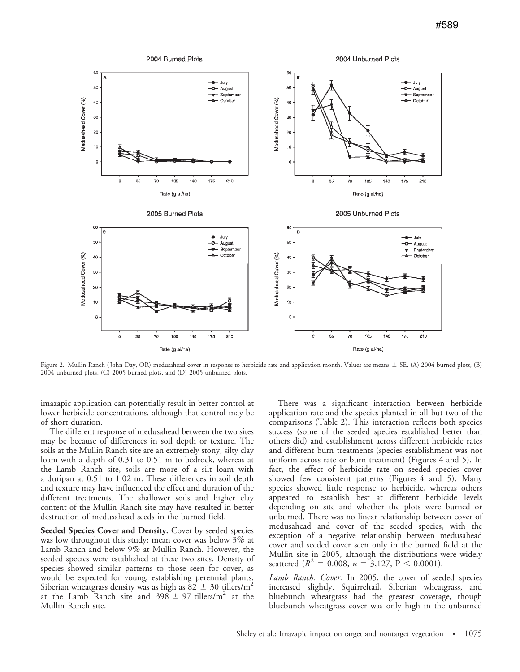

Figure 2. Mullin Ranch (John Day, OR) medusahead cover in response to herbicide rate and application month. Values are means  $\pm$  SE. (A) 2004 burned plots, (B) 2004 unburned plots, (C) 2005 burned plots, and (D) 2005 unburned plots.

imazapic application can potentially result in better control at lower herbicide concentrations, although that control may be of short duration.

The different response of medusahead between the two sites may be because of differences in soil depth or texture. The soils at the Mullin Ranch site are an extremely stony, silty clay loam with a depth of 0.31 to 0.51 m to bedrock, whereas at the Lamb Ranch site, soils are more of a silt loam with a duripan at 0.51 to 1.02 m. These differences in soil depth and texture may have influenced the effect and duration of the different treatments. The shallower soils and higher clay content of the Mullin Ranch site may have resulted in better destruction of medusahead seeds in the burned field.

Seeded Species Cover and Density. Cover by seeded species was low throughout this study; mean cover was below 3% at Lamb Ranch and below 9% at Mullin Ranch. However, the seeded species were established at these two sites. Density of species showed similar patterns to those seen for cover, as would be expected for young, establishing perennial plants. Siberian wheatgrass density was as high as  $82 \pm 30$  tillers/m<sup>2</sup> at the Lamb Ranch site and  $398 \pm 97$  tillers/m<sup>2</sup> at the Mullin Ranch site.

There was a significant interaction between herbicide application rate and the species planted in all but two of the comparisons (Table 2). This interaction reflects both species success (some of the seeded species established better than others did) and establishment across different herbicide rates and different burn treatments (species establishment was not uniform across rate or burn treatment) (Figures 4 and 5). In fact, the effect of herbicide rate on seeded species cover showed few consistent patterns (Figures 4 and 5). Many species showed little response to herbicide, whereas others appeared to establish best at different herbicide levels depending on site and whether the plots were burned or unburned. There was no linear relationship between cover of medusahead and cover of the seeded species, with the exception of a negative relationship between medusahead cover and seeded cover seen only in the burned field at the Mullin site in 2005, although the distributions were widely scattered ( $R^2 = 0.008$ ,  $n = 3,127$ ,  $P < 0.0001$ ).

Lamb Ranch. Cover. In 2005, the cover of seeded species increased slightly. Squirreltail, Siberian wheatgrass, and bluebunch wheatgrass had the greatest coverage, though bluebunch wheatgrass cover was only high in the unburned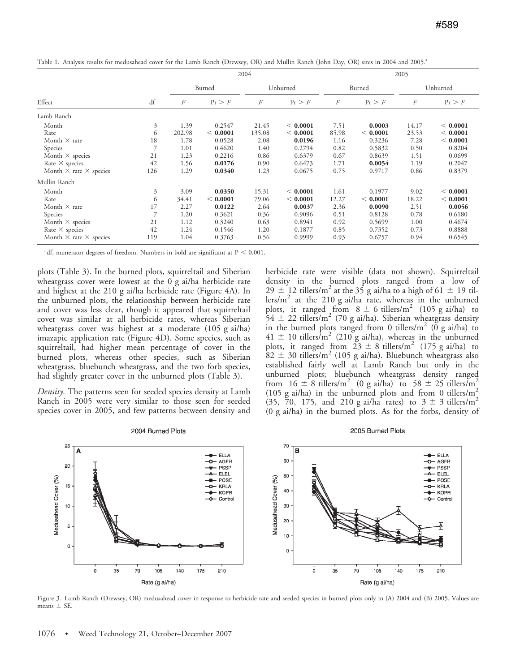|                                      |                |        |          | 2004     |          | 2005   |          |          |          |  |
|--------------------------------------|----------------|--------|----------|----------|----------|--------|----------|----------|----------|--|
| Effect                               |                | Burned |          | Unburned |          | Burned |          | Unburned |          |  |
|                                      | df             | F      | Pr > F   | F        | Pr > F   | F      | Pr > F   | F        | Pr > F   |  |
| Lamb Ranch                           |                |        |          |          |          |        |          |          |          |  |
| Month                                | 3              | 1.39   | 0.2547   | 21.45    | < 0.0001 | 7.51   | 0.0003   | 14.17    | < 0.0001 |  |
| Rate                                 | 6              | 202.98 | < 0.0001 | 135.08   | < 0.0001 | 85.98  | < 0.0001 | 23.53    | < 0.0001 |  |
| Month $\times$ rate                  | 18             | 1.78   | 0.0528   | 2.08     | 0.0196   | 1.16   | 0.3236   | 7.28     | < 0.0001 |  |
| Species                              | 7              | 1.01   | 0.4620   | 1.40     | 0.2794   | 0.82   | 0.5832   | 0.50     | 0.8204   |  |
| Month $\times$ species               | 21             | 1.23   | 0.2216   | 0.86     | 0.6379   | 0.67   | 0.8639   | 1.51     | 0.0699   |  |
| Rate $\times$ species                | 42             | 1.56   | 0.0176   | 0.90     | 0.6473   | 1.71   | 0.0054   | 1.19     | 0.2047   |  |
| Month $\times$ rate $\times$ species | 126            | 1.29   | 0.0340   | 1.23     | 0.0675   | 0.75   | 0.9717   | 0.86     | 0.8379   |  |
| Mullin Ranch                         |                |        |          |          |          |        |          |          |          |  |
| Month                                | 3              | 3.09   | 0.0350   | 15.31    | < 0.0001 | 1.61   | 0.1977   | 9.02     | < 0.0001 |  |
| Rate                                 | 6              | 34.41  | < 0.0001 | 79.06    | < 0.0001 | 12.27  | < 0.0001 | 18.22    | < 0.0001 |  |
| Month $\times$ rate                  | 17             | 2.27   | 0.0122   | 2.64     | 0.0037   | 2.36   | 0.0090   | 2.51     | 0.0056   |  |
| Species                              | $\overline{7}$ | 1.20   | 0.3621   | 0.36     | 0.9096   | 0.51   | 0.8128   | 0.78     | 0.6180   |  |
| Month $\times$ species               | 21             | 1.12   | 0.3240   | 0.63     | 0.8941   | 0.92   | 0.5699   | 1.00     | 0.4674   |  |
| Rate $\times$ species                | 42             | 1.24   | 0.1546   | 1.20     | 0.1877   | 0.85   | 0.7352   | 0.73     | 0.8888   |  |
| Month $\times$ rate $\times$ species | 119            | 1.04   | 0.3763   | 0.56     | 0.9999   | 0.93   | 0.6757   | 0.94     | 0.6545   |  |

Table 1. Analysis results for medusahead cover for the Lamb Ranch (Drewsey, OR) and Mullin Ranch (John Day, OR) sites in 2004 and 2005.<sup>a</sup>

<sup>a</sup> df, numerator degrees of freedom. Numbers in bold are significant at  $P < 0.001$ .

plots (Table 3). In the burned plots, squirreltail and Siberian wheatgrass cover were lowest at the 0 g ai/ha herbicide rate and highest at the 210 g ai/ha herbicide rate (Figure 4A). In the unburned plots, the relationship between herbicide rate and cover was less clear, though it appeared that squirreltail cover was similar at all herbicide rates, whereas Siberian wheatgrass cover was highest at a moderate (105 g ai/ha) imazapic application rate (Figure 4D). Some species, such as squirreltail, had higher mean percentage of cover in the burned plots, whereas other species, such as Siberian wheatgrass, bluebunch wheatgrass, and the two forb species, had slightly greater cover in the unburned plots (Table 3).

Density. The patterns seen for seeded species density at Lamb Ranch in 2005 were very similar to those seen for seeded species cover in 2005, and few patterns between density and

herbicide rate were visible (data not shown). Squirreltail density in the burned plots ranged from a low of  $29 \pm 12$  tillers/m<sup>2</sup> at the 35 g ai/ha to a high of 61  $\pm$  19 tillers/ $m^2$  at the 210 g ai/ha rate, whereas in the unburned plots, it ranged from  $8 \pm 6$  tillers/m<sup>2</sup> (105 g ai/ha) to  $54 \pm 22$  tillers/m<sup>2</sup> (70 g ai/ha). Siberian wheatgrass density in the burned plots ranged from 0 tillers/ $m^2$  (0 g ai/ha) to  $41 \pm 10$  tillers/m<sup>2</sup> (210 g ai/ha), whereas in the unburned plots, it ranged from  $23 \pm 8$  tillers/m<sup>2</sup> (175 g ai/ha) to  $82 \pm 30$  tillers/m<sup>2</sup> (105 g ai/ha). Bluebunch wheatgrass also established fairly well at Lamb Ranch but only in the unburned plots; bluebunch wheatgrass density ranged from  $16 \pm 8$  tillers/m<sup>2</sup> (0 g ai/ha) to  $58 \pm 25$  tillers/m<sup>2</sup> (105 g ai/ha) in the unburned plots and from 0 tillers/ $m^2$ (35, 70, 175, and 210 g ai/ha rates) to  $3 \pm 3$  tillers/m<sup>2</sup> (0 g ai/ha) in the burned plots. As for the forbs, density of



Figure 3. Lamb Ranch (Drewsey, OR) medusahead cover in response to herbicide rate and seeded species in burned plots only in (A) 2004 and (B) 2005. Values are means  $\pm$  SE.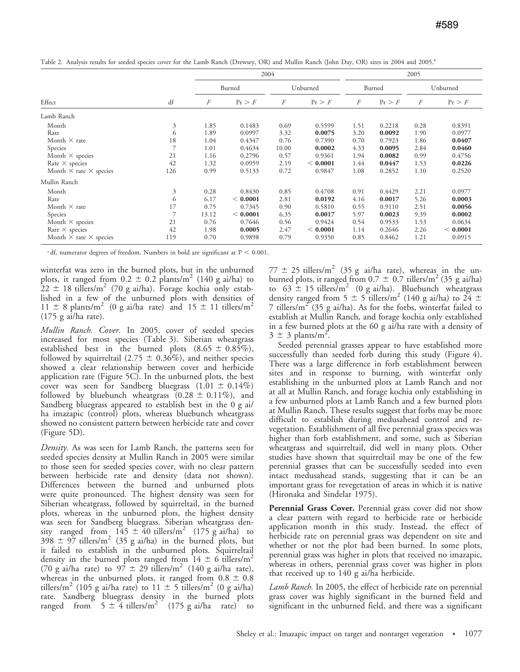Table 2. Analysis results for seeded species cover for the Lamb Ranch (Drewsey, OR) and Mullin Ranch (John Day, OR) sites in 2004 and 2005.<sup>a</sup>

|                                      |     |        | 2004     |          | 2005     |        |        |          |          |
|--------------------------------------|-----|--------|----------|----------|----------|--------|--------|----------|----------|
|                                      | df  | Burned |          | Unburned |          | Burned |        | Unburned |          |
| Effect                               |     | F      | Pr > F   | F        | Pr > F   | F      | Pr > F | F        | Pr > F   |
| Lamb Ranch                           |     |        |          |          |          |        |        |          |          |
| Month                                | 3   | 1.85   | 0.1483   | 0.69     | 0.5599   | 1.51   | 0.2218 | 0.28     | 0.8391   |
| Rate                                 | 6   | 1.89   | 0.0997   | 3.32     | 0.0075   | 3.20   | 0.0092 | 1.90     | 0.0977   |
| Month $\times$ rate                  | 18  | 1.04   | 0.4347   | 0.76     | 0.7390   | 0.70   | 0.7923 | 1.86     | 0.0407   |
| Species                              | 7   | 1.01   | 0.4634   | 10.00    | 0.0002   | 4.33   | 0.0095 | 2.84     | 0.0460   |
| Month $\times$ species               | 21  | 1.16   | 0.2796   | 0.57     | 0.9361   | 1.94   | 0.0082 | 0.99     | 0.4756   |
| Rate $\times$ species                | 42  | 1.32   | 0.0959   | 2.19     | < 0.0001 | 1.44   | 0.0447 | 1.53     | 0.0226   |
| Month $\times$ rate $\times$ species | 126 | 0.99   | 0.5133   | 0.72     | 0.9847   | 1.08   | 0.2852 | 1.10     | 0.2520   |
| Mullin Ranch                         |     |        |          |          |          |        |        |          |          |
| Month                                | 3   | 0.28   | 0.8430   | 0.85     | 0.4708   | 0.91   | 0.4429 | 2.21     | 0.0977   |
| Rate                                 | 6   | 6.17   | < 0.0001 | 2.81     | 0.0192   | 4.16   | 0.0017 | 5.26     | 0.0003   |
| Month $\times$ rate                  | 17  | 0.75   | 0.7345   | 0.90     | 0.5810   | 0.55   | 0.9110 | 2.51     | 0.0056   |
| Species                              | 7   | 13.12  | < 0.0001 | 6.35     | 0.0017   | 5.97   | 0.0023 | 9.39     | 0.0002   |
| Month $\times$ species               | 21  | 0.76   | 0.7646   | 0.56     | 0.9424   | 0.54   | 0.9533 | 1.53     | 0.0634   |
| Rate $\times$ species                | 42  | 1.98   | 0.0005   | 2.47     | < 0.0001 | 1.14   | 0.2646 | 2.26     | < 0.0001 |
| Month $\times$ rate $\times$ species | 119 | 0.70   | 0.9898   | 0.79     | 0.9350   | 0.85   | 0.8462 | 1.21     | 0.0915   |

<sup>a</sup> df, numerator degrees of freedom. Numbers in bold are significant at  $P < 0.001$ .

winterfat was zero in the burned plots, but in the unburned plots, it ranged from  $0.2 \pm 0.2$  plants/m<sup>2</sup> (140 g ai/ha) to  $22 \pm 18$  tillers/m<sup>2</sup> (70 g ai/ha). Forage kochia only established in a few of the unburned plots with densities of  $11 \pm 8$  plants/m<sup>2</sup> (0 g ai/ha rate) and  $15 \pm 11$  tillers/m<sup>2</sup> (175 g ai/ha rate).

Mullin Ranch. Cover. In 2005, cover of seeded species increased for most species (Table 3). Siberian wheatgrass established best in the burned plots  $(8.65 \pm 0.85\%)$ , followed by squirreltail (2.75  $\pm$  0.36%), and neither species showed a clear relationship between cover and herbicide application rate (Figure 5C). In the unburned plots, the best cover was seen for Sandberg bluegrass  $(1.01 \pm 0.14\%)$ followed by bluebunch wheatgrass  $(0.28 \pm 0.11\%)$ , and Sandberg bluegrass appeared to establish best in the 0 g ai/ ha imazapic (control) plots, whereas bluebunch wheatgrass showed no consistent pattern between herbicide rate and cover (Figure 5D).

Density. As was seen for Lamb Ranch, the patterns seen for seeded species density at Mullin Ranch in 2005 were similar to those seen for seeded species cover, with no clear pattern between herbicide rate and density (data not shown). Differences between the burned and unburned plots were quite pronounced. The highest density was seen for Siberian wheatgrass, followed by squirreltail, in the burned plots, whereas in the unburned plots, the highest density was seen for Sandberg bluegrass. Siberian wheatgrass density ranged from  $145 \pm 40$  tillers/m<sup>2</sup> (175 g ai/ha) to  $398 \pm 97$  tillers/m<sup>2</sup> (35 g ai/ha) in the burned plots, but it failed to establish in the unburned plots. Squirreltail density in the burned plots ranged from  $14 \pm 6$  tillers/m<sup>2</sup> (70 g ai/ha rate) to  $97 \pm 29$  tillers/m<sup>2</sup> (140 g ai/ha rate), whereas in the unburned plots, it ranged from  $0.8 \pm 0.8$ tillers/m<sup>2</sup> (105 g ai/ha rate) to 11  $\pm$  5 tillers/m<sup>2</sup> (0 g ai/ha) rate. Sandberg bluegrass density in the burned plots ranged from  $5 \pm 4$  tillers/m<sup>2</sup> (175 g ai/ha rate) to

 $77 \pm 25$  tillers/m<sup>2</sup> (35 g ai/ha rate), whereas in the unburned plots, it ranged from  $0.7 \pm 0.7$  tillers/m<sup>2</sup> (35 g ai/ha) to  $63 \pm 15$  tillers/m<sup>2</sup> (0 g ai/ha). Bluebunch wheatgrass density ranged from 5  $\pm$  5 tillers/m<sup>2</sup> (140 g ai/ha) to 24  $\pm$ 7 tillers/ $m^2$  (35 g ai/ha). As for the forbs, winterfat failed to establish at Mullin Ranch, and forage kochia only established in a few burned plots at the 60 g ai/ha rate with a density of  $3 \pm 3$  plants/m<sup>2</sup>.

Seeded perennial grasses appear to have established more successfully than seeded forb during this study (Figure 4). There was a large difference in forb establishment between sites and in response to burning, with winterfat only establishing in the unburned plots at Lamb Ranch and not at all at Mullin Ranch, and forage kochia only establishing in a few unburned plots at Lamb Ranch and a few burned plots at Mullin Ranch. These results suggest that forbs may be more difficult to establish during medusahead control and revegetation. Establishment of all five perennial grass species was higher than forb establishment, and some, such as Siberian wheatgrass and squirreltail, did well in many plots. Other studies have shown that squirreltail may be one of the few perennial grasses that can be successfully seeded into even intact medusahead stands, suggesting that it can be an important grass for revegetation of areas in which it is native (Hironaka and Sindelar 1975).

Perennial Grass Cover. Perennial grass cover did not show a clear pattern with regard to herbicide rate or herbicide application month in this study. Instead, the effect of herbicide rate on perennial grass was dependent on site and whether or not the plot had been burned. In some plots, perennial grass was higher in plots that received no imazapic, whereas in others, perennial grass cover was higher in plots that received up to 140 g ai/ha herbicide.

Lamb Ranch. In 2005, the effect of herbicide rate on perennial grass cover was highly significant in the burned field and significant in the unburned field, and there was a significant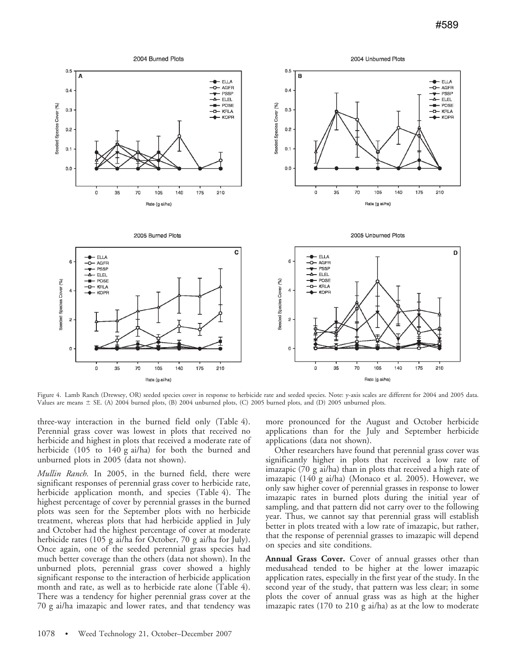

Figure 4. Lamb Ranch (Drewsey, OR) seeded species cover in response to herbicide rate and seeded species. Note: y-axis scales are different for 2004 and 2005 data. Values are means  $\pm$  SE. (A) 2004 burned plots, (B) 2004 unburned plots, (C) 2005 burned plots, and (D) 2005 unburned plots.

three-way interaction in the burned field only (Table 4). Perennial grass cover was lowest in plots that received no herbicide and highest in plots that received a moderate rate of herbicide (105 to 140 g ai/ha) for both the burned and unburned plots in 2005 (data not shown).

Mullin Ranch. In 2005, in the burned field, there were significant responses of perennial grass cover to herbicide rate, herbicide application month, and species (Table 4). The highest percentage of cover by perennial grasses in the burned plots was seen for the September plots with no herbicide treatment, whereas plots that had herbicide applied in July and October had the highest percentage of cover at moderate herbicide rates (105 g ai/ha for October, 70 g ai/ha for July). Once again, one of the seeded perennial grass species had much better coverage than the others (data not shown). In the unburned plots, perennial grass cover showed a highly significant response to the interaction of herbicide application month and rate, as well as to herbicide rate alone (Table 4). There was a tendency for higher perennial grass cover at the 70 g ai/ha imazapic and lower rates, and that tendency was more pronounced for the August and October herbicide applications than for the July and September herbicide applications (data not shown).

Other researchers have found that perennial grass cover was significantly higher in plots that received a low rate of imazapic (70 g ai/ha) than in plots that received a high rate of imazapic (140 g ai/ha) (Monaco et al. 2005). However, we only saw higher cover of perennial grasses in response to lower imazapic rates in burned plots during the initial year of sampling, and that pattern did not carry over to the following year. Thus, we cannot say that perennial grass will establish better in plots treated with a low rate of imazapic, but rather, that the response of perennial grasses to imazapic will depend on species and site conditions.

Annual Grass Cover. Cover of annual grasses other than medusahead tended to be higher at the lower imazapic application rates, especially in the first year of the study. In the second year of the study, that pattern was less clear; in some plots the cover of annual grass was as high at the higher imazapic rates (170 to 210 g ai/ha) as at the low to moderate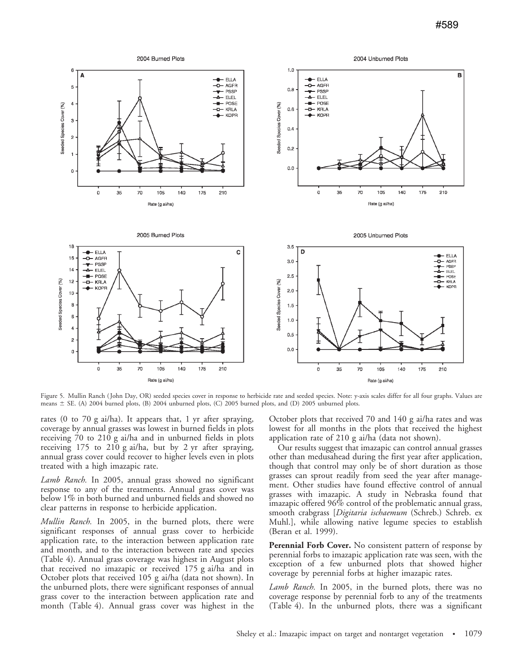

Figure 5. Mullin Ranch ( John Day, OR) seeded species cover in response to herbicide rate and seeded species. Note: y-axis scales differ for all four graphs. Values are means  $\pm$  SE. (A) 2004 burned plots, (B) 2004 unburned plots, (C) 2005 burned plots, and (D) 2005 unburned plots.

rates (0 to 70 g ai/ha). It appears that, 1 yr after spraying, coverage by annual grasses was lowest in burned fields in plots receiving 70 to 210 g ai/ha and in unburned fields in plots receiving 175 to 210 g ai/ha, but by 2 yr after spraying, annual grass cover could recover to higher levels even in plots treated with a high imazapic rate.

Lamb Ranch. In 2005, annual grass showed no significant response to any of the treatments. Annual grass cover was below 1% in both burned and unburned fields and showed no clear patterns in response to herbicide application.

Mullin Ranch. In 2005, in the burned plots, there were significant responses of annual grass cover to herbicide application rate, to the interaction between application rate and month, and to the interaction between rate and species (Table 4). Annual grass coverage was highest in August plots that received no imazapic or received 175 g ai/ha and in October plots that received 105 g ai/ha (data not shown). In the unburned plots, there were significant responses of annual grass cover to the interaction between application rate and month (Table 4). Annual grass cover was highest in the

October plots that received 70 and 140 g ai/ha rates and was lowest for all months in the plots that received the highest application rate of 210 g ai/ha (data not shown).

Our results suggest that imazapic can control annual grasses other than medusahead during the first year after application, though that control may only be of short duration as those grasses can sprout readily from seed the year after management. Other studies have found effective control of annual grasses with imazapic. A study in Nebraska found that imazapic offered 96% control of the problematic annual grass, smooth crabgrass [Digitaria ischaemum (Schreb.) Schreb. ex Muhl.], while allowing native legume species to establish (Beran et al. 1999).

Perennial Forb Cover. No consistent pattern of response by perennial forbs to imazapic application rate was seen, with the exception of a few unburned plots that showed higher coverage by perennial forbs at higher imazapic rates.

Lamb Ranch. In 2005, in the burned plots, there was no coverage response by perennial forb to any of the treatments (Table 4). In the unburned plots, there was a significant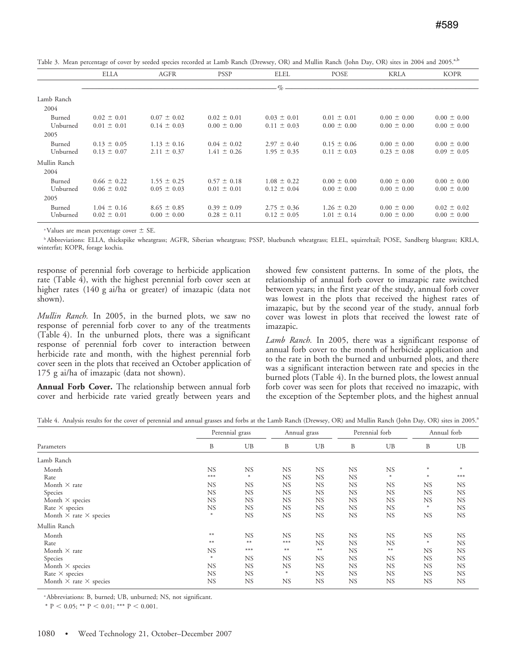| <b>ELLA</b>     | AGFR            | <b>PSSP</b>     |                 | <b>POSE</b>     | <b>KRLA</b>     | <b>KOPR</b>     |
|-----------------|-----------------|-----------------|-----------------|-----------------|-----------------|-----------------|
|                 |                 |                 | $\sigma$        |                 |                 |                 |
|                 |                 |                 |                 |                 |                 |                 |
|                 |                 |                 |                 |                 |                 |                 |
| $0.02 \pm 0.01$ | $0.07 \pm 0.02$ | $0.02 \pm 0.01$ | $0.03 \pm 0.01$ | $0.01 \pm 0.01$ | $0.00 \pm 0.00$ | $0.00 \pm 0.00$ |
| $0.01 \pm 0.01$ | $0.14 \pm 0.03$ | $0.00 \pm 0.00$ | $0.11 \pm 0.03$ | $0.00 \pm 0.00$ | $0.00 \pm 0.00$ | $0.00 \pm 0.00$ |
|                 |                 |                 |                 |                 |                 |                 |
| $0.13 \pm 0.05$ | $1.13 \pm 0.16$ | $0.04 \pm 0.02$ | $2.97 \pm 0.40$ | $0.15 \pm 0.06$ | $0.00 \pm 0.00$ | $0.00 \pm 0.00$ |
| $0.13 \pm 0.07$ | $2.11 \pm 0.37$ | $1.41 \pm 0.26$ | $1.95 \pm 0.35$ | $0.11 \pm 0.03$ | $0.23 \pm 0.08$ | $0.09 \pm 0.05$ |
|                 |                 |                 |                 |                 |                 |                 |
|                 |                 |                 |                 |                 |                 |                 |
| $0.66 \pm 0.22$ | $1.55 \pm 0.25$ | $0.57 \pm 0.18$ | $1.08 \pm 0.22$ | $0.00 \pm 0.00$ | $0.00 \pm 0.00$ | $0.00 \pm 0.00$ |
| $0.06 \pm 0.02$ | $0.05 \pm 0.03$ | $0.01 \pm 0.01$ | $0.12 \pm 0.04$ | $0.00 \pm 0.00$ | $0.00 \pm 0.00$ | $0.00 \pm 0.00$ |
|                 |                 |                 |                 |                 |                 |                 |
| $1.04 \pm 0.16$ | $8.65 \pm 0.85$ | $0.39 \pm 0.09$ | $2.75 \pm 0.36$ | $1.26 \pm 0.20$ | $0.00 \pm 0.00$ | $0.02 \pm 0.02$ |
| $0.02 \pm 0.01$ | $0.00 \pm 0.00$ | $0.28 \pm 0.11$ | $0.12 \pm 0.05$ | $1.01 \pm 0.14$ | $0.00 \pm 0.00$ | $0.00 \pm 0.00$ |
|                 |                 |                 |                 | ELEL            |                 |                 |

Table 3. Mean percentage of cover by seeded species recorded at Lamb Ranch (Drewsey, OR) and Mullin Ranch (John Day, OR) sites in 2004 and 2005.<sup>a,b</sup>

<sup>a</sup>Values are mean percentage cover  $\pm$  SE.

<sup>b</sup> Abbreviations: ELLA, thickspike wheatgrass; AGFR, Siberian wheatgrass; PSSP, bluebunch wheatgrass; ELEL, squirreltail; POSE, Sandberg bluegrass; KRLA, winterfat; KOPR, forage kochia.

response of perennial forb coverage to herbicide application rate (Table 4), with the highest perennial forb cover seen at higher rates (140 g ai/ha or greater) of imazapic (data not shown).

Mullin Ranch. In 2005, in the burned plots, we saw no response of perennial forb cover to any of the treatments (Table 4). In the unburned plots, there was a significant response of perennial forb cover to interaction between herbicide rate and month, with the highest perennial forb cover seen in the plots that received an October application of 175 g ai/ha of imazapic (data not shown).

Annual Forb Cover. The relationship between annual forb cover and herbicide rate varied greatly between years and showed few consistent patterns. In some of the plots, the relationship of annual forb cover to imazapic rate switched between years; in the first year of the study, annual forb cover was lowest in the plots that received the highest rates of imazapic, but by the second year of the study, annual forb cover was lowest in plots that received the lowest rate of imazapic.

Lamb Ranch. In 2005, there was a significant response of annual forb cover to the month of herbicide application and to the rate in both the burned and unburned plots, and there was a significant interaction between rate and species in the burned plots (Table 4). In the burned plots, the lowest annual forb cover was seen for plots that received no imazapic, with the exception of the September plots, and the highest annual

|                                      | Perennial grass |        | Annual grass |           | Perennial forb |           | Annual forb |           |
|--------------------------------------|-----------------|--------|--------------|-----------|----------------|-----------|-------------|-----------|
| Parameters                           | B               | UB     | B            | UB        | B              | UB        | B           | UB        |
| Lamb Ranch                           |                 |        |              |           |                |           |             |           |
| Month                                | <b>NS</b>       | NS.    | NS           | NS        | <b>NS</b>      | NS.       | $\ast$      | $\ast$    |
| Rate                                 | $***$           | $\ast$ | <b>NS</b>    | NS.       | <b>NS</b>      | $\ast$    | $\ast$      | $***$     |
| Month $\times$ rate                  | <b>NS</b>       | NS.    | <b>NS</b>    | NS.       | <b>NS</b>      | NS        | <b>NS</b>   | NS.       |
| Species                              | <b>NS</b>       | NS.    | <b>NS</b>    | <b>NS</b> | <b>NS</b>      | <b>NS</b> | <b>NS</b>   | NS.       |
| Month $\times$ species               | <b>NS</b>       | NS.    | NS           | NS.       | <b>NS</b>      | <b>NS</b> | NS.         | NS.       |
| Rate $\times$ species                | <b>NS</b>       | NS.    | NS           | NS.       | <b>NS</b>      | <b>NS</b> | $\ast$      | NS.       |
| Month $\times$ rate $\times$ species | $\ast$          | NS.    | <b>NS</b>    | NS.       | <b>NS</b>      | <b>NS</b> | <b>NS</b>   | <b>NS</b> |
| Mullin Ranch                         |                 |        |              |           |                |           |             |           |
| Month                                | $**$            | NS.    | NS           | NS.       | <b>NS</b>      | <b>NS</b> | NS.         | NS.       |
| Rate                                 | $**$            | $**$   | $***$        | NS.       | <b>NS</b>      | <b>NS</b> | $\ast$      | NS.       |
| Month $\times$ rate                  | <b>NS</b>       | $***$  | $**$         | $**$      | <b>NS</b>      | $**$      | NS.         | NS.       |
| Species                              | $\ast$          | NS.    | NS           | NS.       | <b>NS</b>      | <b>NS</b> | NS          | NS.       |
| Month $\times$ species               | <b>NS</b>       | NS.    | <b>NS</b>    | <b>NS</b> | <b>NS</b>      | <b>NS</b> | NS.         | NS.       |
| Rate $\times$ species                | <b>NS</b>       | NS.    | $*$          | NS.       | <b>NS</b>      | <b>NS</b> | <b>NS</b>   | <b>NS</b> |
| Month $\times$ rate $\times$ species | <b>NS</b>       | NS.    | <b>NS</b>    | <b>NS</b> | <b>NS</b>      | NS        | <b>NS</b>   | <b>NS</b> |

<sup>a</sup> Abbreviations: B, burned; UB, unburned; NS, not significant.

\* P < 0.05; \*\* P < 0.01; \*\*\* P < 0.001.